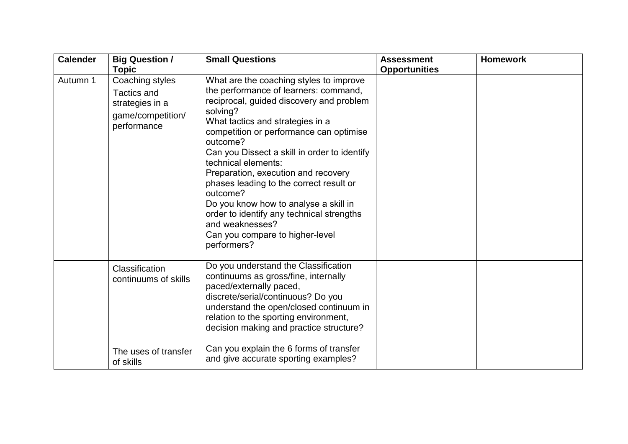| <b>Calender</b> | <b>Big Question /</b>                                                                        | <b>Small Questions</b>                                                                                                                                                                                                                                                                                                                                                                                                                                                                                                                                              | <b>Assessment</b>    | <b>Homework</b> |
|-----------------|----------------------------------------------------------------------------------------------|---------------------------------------------------------------------------------------------------------------------------------------------------------------------------------------------------------------------------------------------------------------------------------------------------------------------------------------------------------------------------------------------------------------------------------------------------------------------------------------------------------------------------------------------------------------------|----------------------|-----------------|
|                 | <b>Topic</b>                                                                                 |                                                                                                                                                                                                                                                                                                                                                                                                                                                                                                                                                                     | <b>Opportunities</b> |                 |
| Autumn 1        | Coaching styles<br><b>Tactics and</b><br>strategies in a<br>game/competition/<br>performance | What are the coaching styles to improve<br>the performance of learners: command,<br>reciprocal, guided discovery and problem<br>solving?<br>What tactics and strategies in a<br>competition or performance can optimise<br>outcome?<br>Can you Dissect a skill in order to identify<br>technical elements:<br>Preparation, execution and recovery<br>phases leading to the correct result or<br>outcome?<br>Do you know how to analyse a skill in<br>order to identify any technical strengths<br>and weaknesses?<br>Can you compare to higher-level<br>performers? |                      |                 |
|                 | Classification<br>continuums of skills                                                       | Do you understand the Classification<br>continuums as gross/fine, internally<br>paced/externally paced,<br>discrete/serial/continuous? Do you<br>understand the open/closed continuum in<br>relation to the sporting environment,<br>decision making and practice structure?                                                                                                                                                                                                                                                                                        |                      |                 |
|                 | The uses of transfer<br>of skills                                                            | Can you explain the 6 forms of transfer<br>and give accurate sporting examples?                                                                                                                                                                                                                                                                                                                                                                                                                                                                                     |                      |                 |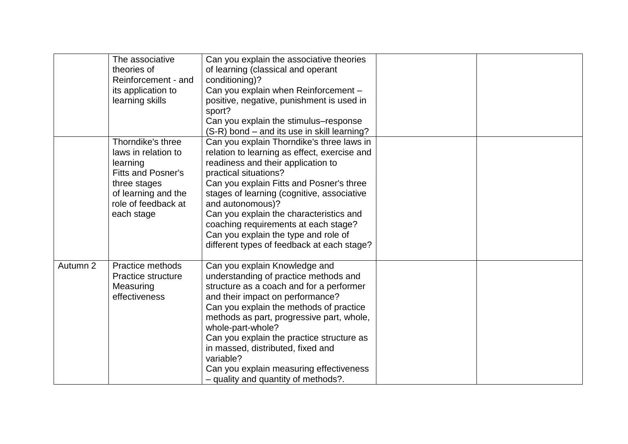|          | The associative<br>theories of<br>Reinforcement - and<br>its application to<br>learning skills                                                                | Can you explain the associative theories<br>of learning (classical and operant<br>conditioning)?<br>Can you explain when Reinforcement -<br>positive, negative, punishment is used in<br>sport?<br>Can you explain the stimulus–response<br>(S-R) bond – and its use in skill learning?                                                                                                                                                              |  |
|----------|---------------------------------------------------------------------------------------------------------------------------------------------------------------|------------------------------------------------------------------------------------------------------------------------------------------------------------------------------------------------------------------------------------------------------------------------------------------------------------------------------------------------------------------------------------------------------------------------------------------------------|--|
|          | Thorndike's three<br>laws in relation to<br>learning<br><b>Fitts and Posner's</b><br>three stages<br>of learning and the<br>role of feedback at<br>each stage | Can you explain Thorndike's three laws in<br>relation to learning as effect, exercise and<br>readiness and their application to<br>practical situations?<br>Can you explain Fitts and Posner's three<br>stages of learning (cognitive, associative<br>and autonomous)?<br>Can you explain the characteristics and<br>coaching requirements at each stage?<br>Can you explain the type and role of<br>different types of feedback at each stage?      |  |
| Autumn 2 | Practice methods<br>Practice structure<br>Measuring<br>effectiveness                                                                                          | Can you explain Knowledge and<br>understanding of practice methods and<br>structure as a coach and for a performer<br>and their impact on performance?<br>Can you explain the methods of practice<br>methods as part, progressive part, whole,<br>whole-part-whole?<br>Can you explain the practice structure as<br>in massed, distributed, fixed and<br>variable?<br>Can you explain measuring effectiveness<br>- quality and quantity of methods?. |  |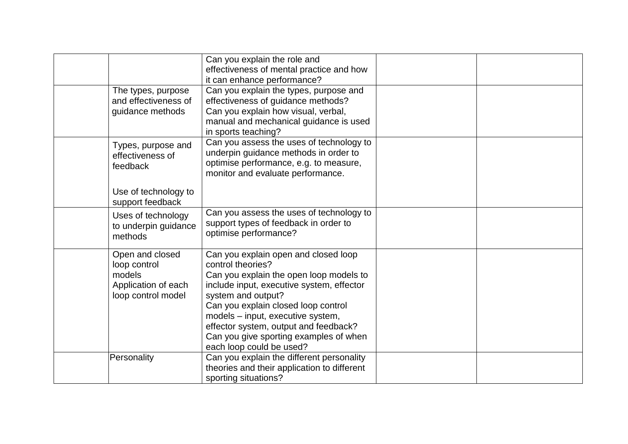|                                                                                        | Can you explain the role and<br>effectiveness of mental practice and how<br>it can enhance performance?                                                                                                                                                                                                                                                            |  |
|----------------------------------------------------------------------------------------|--------------------------------------------------------------------------------------------------------------------------------------------------------------------------------------------------------------------------------------------------------------------------------------------------------------------------------------------------------------------|--|
| The types, purpose<br>and effectiveness of<br>guidance methods                         | Can you explain the types, purpose and<br>effectiveness of guidance methods?<br>Can you explain how visual, verbal,<br>manual and mechanical guidance is used<br>in sports teaching?                                                                                                                                                                               |  |
| Types, purpose and<br>effectiveness of<br>feedback                                     | Can you assess the uses of technology to<br>underpin guidance methods in order to<br>optimise performance, e.g. to measure,<br>monitor and evaluate performance.                                                                                                                                                                                                   |  |
| Use of technology to<br>support feedback                                               |                                                                                                                                                                                                                                                                                                                                                                    |  |
| Uses of technology<br>to underpin guidance<br>methods                                  | Can you assess the uses of technology to<br>support types of feedback in order to<br>optimise performance?                                                                                                                                                                                                                                                         |  |
| Open and closed<br>loop control<br>models<br>Application of each<br>loop control model | Can you explain open and closed loop<br>control theories?<br>Can you explain the open loop models to<br>include input, executive system, effector<br>system and output?<br>Can you explain closed loop control<br>models - input, executive system,<br>effector system, output and feedback?<br>Can you give sporting examples of when<br>each loop could be used? |  |
| Personality                                                                            | Can you explain the different personality<br>theories and their application to different<br>sporting situations?                                                                                                                                                                                                                                                   |  |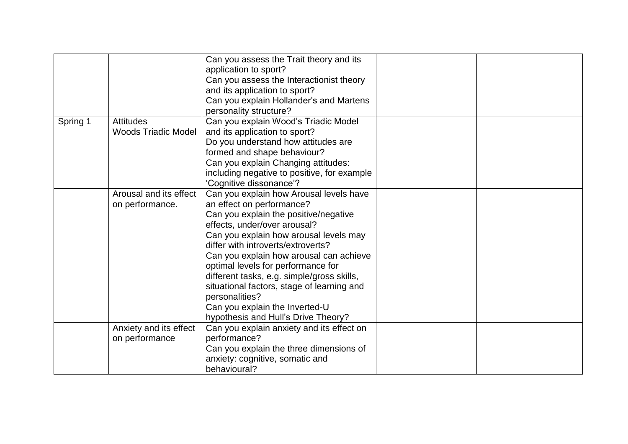|          |                                                | Can you assess the Trait theory and its<br>application to sport?<br>Can you assess the Interactionist theory<br>and its application to sport?<br>Can you explain Hollander's and Martens<br>personality structure?                                                                                                                                                                                                                                                                                    |  |
|----------|------------------------------------------------|-------------------------------------------------------------------------------------------------------------------------------------------------------------------------------------------------------------------------------------------------------------------------------------------------------------------------------------------------------------------------------------------------------------------------------------------------------------------------------------------------------|--|
| Spring 1 | <b>Attitudes</b><br><b>Woods Triadic Model</b> | Can you explain Wood's Triadic Model<br>and its application to sport?<br>Do you understand how attitudes are<br>formed and shape behaviour?<br>Can you explain Changing attitudes:<br>including negative to positive, for example<br>'Cognitive dissonance'?                                                                                                                                                                                                                                          |  |
|          | Arousal and its effect<br>on performance.      | Can you explain how Arousal levels have<br>an effect on performance?<br>Can you explain the positive/negative<br>effects, under/over arousal?<br>Can you explain how arousal levels may<br>differ with introverts/extroverts?<br>Can you explain how arousal can achieve<br>optimal levels for performance for<br>different tasks, e.g. simple/gross skills,<br>situational factors, stage of learning and<br>personalities?<br>Can you explain the Inverted-U<br>hypothesis and Hull's Drive Theory? |  |
|          | Anxiety and its effect<br>on performance       | Can you explain anxiety and its effect on<br>performance?<br>Can you explain the three dimensions of<br>anxiety: cognitive, somatic and<br>behavioural?                                                                                                                                                                                                                                                                                                                                               |  |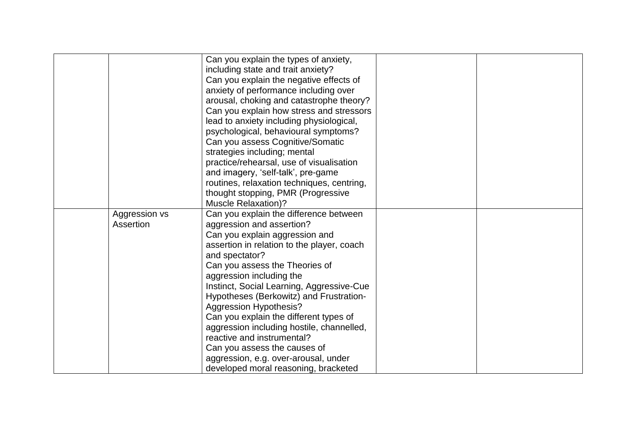|                            | Can you explain the types of anxiety,<br>including state and trait anxiety?<br>Can you explain the negative effects of<br>anxiety of performance including over<br>arousal, choking and catastrophe theory?<br>Can you explain how stress and stressors<br>lead to anxiety including physiological,<br>psychological, behavioural symptoms?<br>Can you assess Cognitive/Somatic<br>strategies including; mental                                                                                                                                                                                   |  |
|----------------------------|---------------------------------------------------------------------------------------------------------------------------------------------------------------------------------------------------------------------------------------------------------------------------------------------------------------------------------------------------------------------------------------------------------------------------------------------------------------------------------------------------------------------------------------------------------------------------------------------------|--|
|                            | practice/rehearsal, use of visualisation<br>and imagery, 'self-talk', pre-game<br>routines, relaxation techniques, centring,<br>thought stopping, PMR (Progressive<br><b>Muscle Relaxation)?</b>                                                                                                                                                                                                                                                                                                                                                                                                  |  |
| Aggression vs<br>Assertion | Can you explain the difference between<br>aggression and assertion?<br>Can you explain aggression and<br>assertion in relation to the player, coach<br>and spectator?<br>Can you assess the Theories of<br>aggression including the<br>Instinct, Social Learning, Aggressive-Cue<br>Hypotheses (Berkowitz) and Frustration-<br><b>Aggression Hypothesis?</b><br>Can you explain the different types of<br>aggression including hostile, channelled,<br>reactive and instrumental?<br>Can you assess the causes of<br>aggression, e.g. over-arousal, under<br>developed moral reasoning, bracketed |  |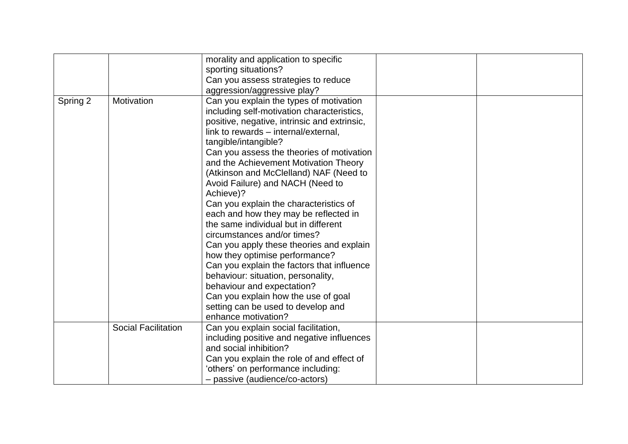|          |                            | morality and application to specific<br>sporting situations?                                                                                                                                                                                                                                                                                                                                                                                                                                                                                                                                                                                                                                                                                                                                                                  |  |
|----------|----------------------------|-------------------------------------------------------------------------------------------------------------------------------------------------------------------------------------------------------------------------------------------------------------------------------------------------------------------------------------------------------------------------------------------------------------------------------------------------------------------------------------------------------------------------------------------------------------------------------------------------------------------------------------------------------------------------------------------------------------------------------------------------------------------------------------------------------------------------------|--|
|          |                            | Can you assess strategies to reduce<br>aggression/aggressive play?                                                                                                                                                                                                                                                                                                                                                                                                                                                                                                                                                                                                                                                                                                                                                            |  |
| Spring 2 | Motivation                 | Can you explain the types of motivation<br>including self-motivation characteristics,<br>positive, negative, intrinsic and extrinsic,<br>link to rewards - internal/external,<br>tangible/intangible?<br>Can you assess the theories of motivation<br>and the Achievement Motivation Theory<br>(Atkinson and McClelland) NAF (Need to<br>Avoid Failure) and NACH (Need to<br>Achieve)?<br>Can you explain the characteristics of<br>each and how they may be reflected in<br>the same individual but in different<br>circumstances and/or times?<br>Can you apply these theories and explain<br>how they optimise performance?<br>Can you explain the factors that influence<br>behaviour: situation, personality,<br>behaviour and expectation?<br>Can you explain how the use of goal<br>setting can be used to develop and |  |
|          |                            | enhance motivation?                                                                                                                                                                                                                                                                                                                                                                                                                                                                                                                                                                                                                                                                                                                                                                                                           |  |
|          | <b>Social Facilitation</b> | Can you explain social facilitation,<br>including positive and negative influences<br>and social inhibition?<br>Can you explain the role of and effect of<br>'others' on performance including:                                                                                                                                                                                                                                                                                                                                                                                                                                                                                                                                                                                                                               |  |
|          |                            | - passive (audience/co-actors)                                                                                                                                                                                                                                                                                                                                                                                                                                                                                                                                                                                                                                                                                                                                                                                                |  |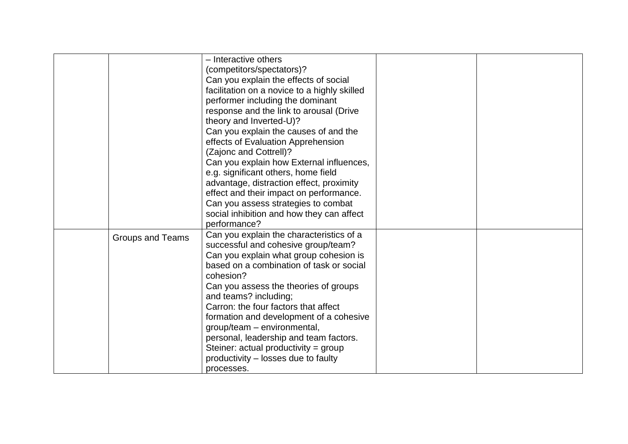|                         | - Interactive others<br>(competitors/spectators)?<br>Can you explain the effects of social<br>facilitation on a novice to a highly skilled<br>performer including the dominant<br>response and the link to arousal (Drive<br>theory and Inverted-U)?<br>Can you explain the causes of and the<br>effects of Evaluation Apprehension<br>(Zajonc and Cottrell)?<br>Can you explain how External influences,<br>e.g. significant others, home field<br>advantage, distraction effect, proximity<br>effect and their impact on performance.<br>Can you assess strategies to combat |  |
|-------------------------|--------------------------------------------------------------------------------------------------------------------------------------------------------------------------------------------------------------------------------------------------------------------------------------------------------------------------------------------------------------------------------------------------------------------------------------------------------------------------------------------------------------------------------------------------------------------------------|--|
|                         | social inhibition and how they can affect<br>performance?                                                                                                                                                                                                                                                                                                                                                                                                                                                                                                                      |  |
| <b>Groups and Teams</b> | Can you explain the characteristics of a<br>successful and cohesive group/team?<br>Can you explain what group cohesion is<br>based on a combination of task or social<br>cohesion?<br>Can you assess the theories of groups<br>and teams? including;<br>Carron: the four factors that affect<br>formation and development of a cohesive<br>group/team - environmental,<br>personal, leadership and team factors.<br>Steiner: actual productivity = $group$<br>productivity – losses due to faulty<br>processes.                                                                |  |